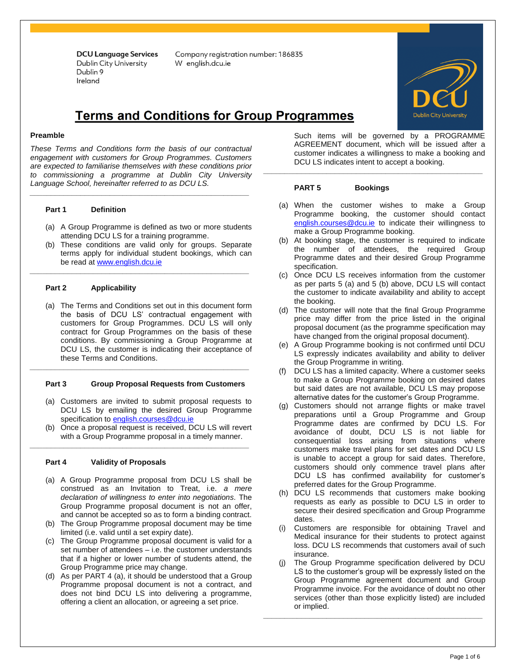Company registration number: 186835 W enalish.dcu.ie

# **Terms and Conditions for Group Programmes**

### **Preamble**

*These Terms and Conditions form the basis of our contractual engagement with customers for Group Programmes. Customers are expected to familiarise themselves with these conditions prior to commissioning a programme at Dublin City University Language School, hereinafter referred to as DCU LS.* 

*\_\_\_\_\_\_\_\_\_\_\_\_\_\_\_\_\_\_\_\_\_\_\_\_\_\_\_\_\_\_\_\_\_\_\_\_\_\_\_\_\_\_\_\_\_\_\_\_\_\_\_\_*

# **Part 1 Definition**

- (a) A Group Programme is defined as two or more students attending DCU LS for a training programme.
- (b) These conditions are valid only for groups. Separate terms apply for individual student bookings, which can be read at [www.english.dcu.ie](http://www.english.dcu.ie/)

*\_\_\_\_\_\_\_\_\_\_\_\_\_\_\_\_\_\_\_\_\_\_\_\_\_\_\_\_\_\_\_\_\_\_\_\_\_\_\_\_\_\_\_\_\_\_\_\_\_\_\_\_*

# **Part 2 Applicability**

(a) The Terms and Conditions set out in this document form the basis of DCU LS' contractual engagement with customers for Group Programmes. DCU LS will only contract for Group Programmes on the basis of these conditions. By commissioning a Group Programme at DCU LS, the customer is indicating their acceptance of these Terms and Conditions.

## **Part 3 Group Proposal Requests from Customers**

*\_\_\_\_\_\_\_\_\_\_\_\_\_\_\_\_\_\_\_\_\_\_\_\_\_\_\_\_\_\_\_\_\_\_\_\_\_\_\_\_\_\_\_\_\_\_\_\_\_\_\_\_*

- (a) Customers are invited to submit proposal requests to DCU LS by emailing the desired Group Programme specification to [english.courses@dcu.ie](mailto:english.courses@dcu.ie)
- (b) Once a proposal request is received, DCU LS will revert with a Group Programme proposal in a timely manner.

*\_\_\_\_\_\_\_\_\_\_\_\_\_\_\_\_\_\_\_\_\_\_\_\_\_\_\_\_\_\_\_\_\_\_\_\_\_\_\_\_\_\_\_\_\_\_\_\_\_\_\_\_*

# **Part 4 Validity of Proposals**

- (a) A Group Programme proposal from DCU LS shall be construed as an Invitation to Treat, i.e. *a mere declaration of willingness to enter into negotiations.* The Group Programme proposal document is not an offer, and cannot be accepted so as to form a binding contract.
- (b) The Group Programme proposal document may be time limited (i.e. valid until a set expiry date).
- (c) The Group Programme proposal document is valid for a set number of attendees – i.e. the customer understands that if a higher or lower number of students attend, the Group Programme price may change.
- (d) As per PART 4 (a), it should be understood that a Group Programme proposal document is not a contract, and does not bind DCU LS into delivering a programme, offering a client an allocation, or agreeing a set price.

Such items will be governed by a PROGRAMME AGREEMENT document, which will be issued after a customer indicates a willingness to make a booking and DCU LS indicates intent to accept a booking.

### **PART 5 Bookings**

(a) When the customer wishes to make a Group Programme booking, the customer should contact [english.courses@dcu.ie](mailto:english.courses@dcu.ie) to indicate their willingness to make a Group Programme booking.

*\_\_\_\_\_\_\_\_\_\_\_\_\_\_\_\_\_\_\_\_\_\_\_\_\_\_\_\_\_\_\_\_\_\_\_\_\_\_\_\_\_\_\_\_\_\_\_\_\_\_\_\_*

- (b) At booking stage, the customer is required to indicate the number of attendees, the required Group Programme dates and their desired Group Programme specification.
- (c) Once DCU LS receives information from the customer as per parts 5 (a) and 5 (b) above, DCU LS will contact the customer to indicate availability and ability to accept the booking.
- (d) The customer will note that the final Group Programme price may differ from the price listed in the original proposal document (as the programme specification may have changed from the original proposal document).
- (e) A Group Programme booking is not confirmed until DCU LS expressly indicates availability and ability to deliver the Group Programme in writing.
- (f) DCU LS has a limited capacity. Where a customer seeks to make a Group Programme booking on desired dates but said dates are not available, DCU LS may propose alternative dates for the customer's Group Programme.
- (g) Customers should not arrange flights or make travel preparations until a Group Programme and Group Programme dates are confirmed by DCU LS. For avoidance of doubt, DCU LS is not liable for consequential loss arising from situations where customers make travel plans for set dates and DCU LS is unable to accept a group for said dates. Therefore, customers should only commence travel plans after DCU LS has confirmed availability for customer's preferred dates for the Group Programme.
- (h) DCU LS recommends that customers make booking requests as early as possible to DCU LS in order to secure their desired specification and Group Programme dates.
- (i) Customers are responsible for obtaining Travel and Medical insurance for their students to protect against loss. DCU LS recommends that customers avail of such insurance.
- (j) The Group Programme specification delivered by DCU LS to the customer's group will be expressly listed on the Group Programme agreement document and Group Programme invoice. For the avoidance of doubt no other services (other than those explicitly listed) are included or implied.

*\_\_\_\_\_\_\_\_\_\_\_\_\_\_\_\_\_\_\_\_\_\_\_\_\_\_\_\_\_\_\_\_\_\_\_\_\_\_\_\_\_\_\_\_\_\_\_\_\_\_\_\_*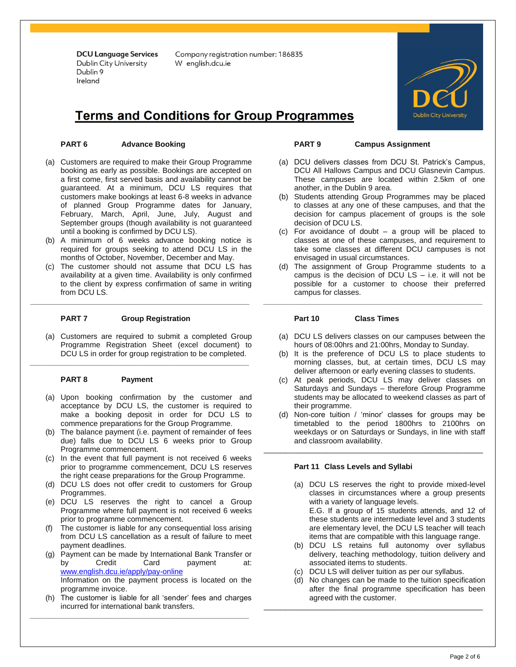Company registration number: 186835 W english.dcu.ie

# **Terms and Conditions for Group Programmes**

# **PART 6 Advance Booking**

- (a) Customers are required to make their Group Programme booking as early as possible. Bookings are accepted on a first come, first served basis and availability cannot be guaranteed. At a minimum, DCU LS requires that customers make bookings at least 6-8 weeks in advance of planned Group Programme dates for January, February, March, April, June, July, August and September groups (though availability is not guaranteed until a booking is confirmed by DCU LS).
- (b) A minimum of 6 weeks advance booking notice is required for groups seeking to attend DCU LS in the months of October, November, December and May.
- (c) The customer should not assume that DCU LS has availability at a given time. Availability is only confirmed to the client by express confirmation of same in writing from DCU LS.

**\_\_\_\_\_\_\_\_\_\_\_\_\_\_\_\_\_\_\_\_\_\_\_\_\_\_\_\_\_\_\_\_\_\_\_\_\_\_\_\_\_\_\_\_\_\_\_\_\_\_\_\_**

*\_\_\_\_\_\_\_\_\_\_\_\_\_\_\_\_\_\_\_\_\_\_\_\_\_\_\_\_\_\_\_\_\_\_\_\_\_\_\_\_\_\_\_\_\_\_\_\_\_\_\_\_*

# **PART 7 Group Registration**

(a) Customers are required to submit a completed Group Programme Registration Sheet (excel document) to DCU LS in order for group registration to be completed.

# **PART 8 Payment**

- (a) Upon booking confirmation by the customer and acceptance by DCU LS, the customer is required to make a booking deposit in order for DCU LS to commence preparations for the Group Programme.
- (b) The balance payment (i.e. payment of remainder of fees due) falls due to DCU LS 6 weeks prior to Group Programme commencement.
- (c) In the event that full payment is not received 6 weeks prior to programme commencement, DCU LS reserves the right cease preparations for the Group Programme.
- (d) DCU LS does not offer credit to customers for Group Programmes.
- (e) DCU LS reserves the right to cancel a Group Programme where full payment is not received 6 weeks prior to programme commencement.
- (f) The customer is liable for any consequential loss arising from DCU LS cancellation as a result of failure to meet payment deadlines.
- (g) Payment can be made by International Bank Transfer or by Credit Card payment at: [www.english.dcu.ie/apply/pay-online](http://www.english.dcu.ie/apply/pay-online) Information on the payment process is located on the programme invoice.
- (h) The customer is liable for all 'sender' fees and charges incurred for international bank transfers.

*\_\_\_\_\_\_\_\_\_\_\_\_\_\_\_\_\_\_\_\_\_\_\_\_\_\_\_\_\_\_\_\_\_\_\_\_\_\_\_\_\_\_\_\_\_\_\_\_\_\_\_\_*

#### **PART 9 Campus Assignment**

- (a) DCU delivers classes from DCU St. Patrick's Campus, DCU All Hallows Campus and DCU Glasnevin Campus. These campuses are located within 2.5km of one another, in the Dublin 9 area.
- (b) Students attending Group Programmes may be placed to classes at any one of these campuses, and that the decision for campus placement of groups is the sole decision of DCU LS.
- (c) For avoidance of doubt a group will be placed to classes at one of these campuses, and requirement to take some classes at different DCU campuses is not envisaged in usual circumstances.
- (d) The assignment of Group Programme students to a campus is the decision of DCU  $LS - i.e.$  it will not be possible for a customer to choose their preferred campus for classes.

*\_\_\_\_\_\_\_\_\_\_\_\_\_\_\_\_\_\_\_\_\_\_\_\_\_\_\_\_\_\_\_\_\_\_\_\_\_\_\_\_\_\_\_\_\_\_\_\_\_\_\_\_*

# **Part 10 Class Times**

- (a) DCU LS delivers classes on our campuses between the hours of 08:00hrs and 21:00hrs, Monday to Sunday.
- (b) It is the preference of DCU LS to place students to morning classes, but, at certain times, DCU LS may deliver afternoon or early evening classes to students.
- (c) At peak periods, DCU LS may deliver classes on Saturdays and Sundays – therefore Group Programme students may be allocated to weekend classes as part of their programme.
- (d) Non-core tuition / 'minor' classes for groups may be timetabled to the period 1800hrs to 2100hrs on weekdays or on Saturdays or Sundays, in line with staff and classroom availability.

\_\_\_\_\_\_\_\_\_\_\_\_\_\_\_\_\_\_\_\_\_\_\_\_\_\_\_\_\_\_\_\_\_\_\_\_\_\_\_\_\_\_\_\_\_\_\_\_\_\_\_\_

# **Part 11 Class Levels and Syllabi**

- (a) DCU LS reserves the right to provide mixed-level classes in circumstances where a group presents with a variety of language levels. E.G. If a group of 15 students attends, and 12 of these students are intermediate level and 3 students are elementary level, the DCU LS teacher will teach items that are compatible with this language range.
- (b) DCU LS retains full autonomy over syllabus delivery, teaching methodology, tuition delivery and associated items to students.
- (c) DCU LS will deliver tuition as per our syllabus.

\_\_\_\_\_\_\_\_\_\_\_\_\_\_\_\_\_\_\_\_\_\_\_\_\_\_\_\_\_\_\_\_\_\_\_\_\_\_\_\_\_\_\_\_\_\_\_\_\_\_\_\_

(d) No changes can be made to the tuition specification after the final programme specification has been agreed with the customer.

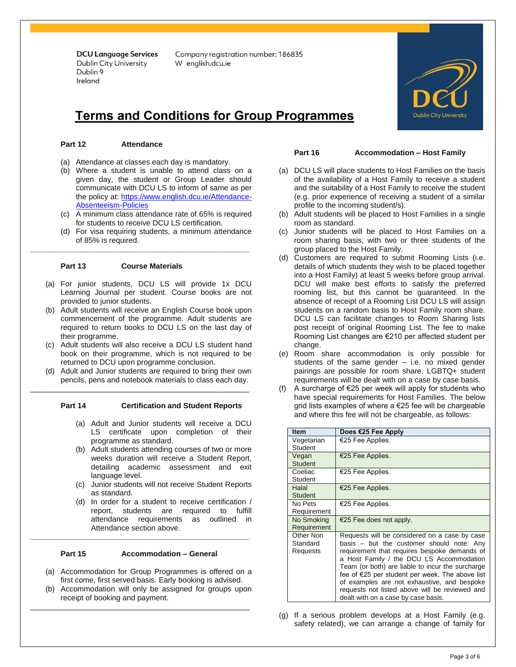Company registration number: 186835 W english.dcu.ie

# **Terms and Conditions for Group Programmes**

# **Part 12 Attendance**

- (a) Attendance at classes each day is mandatory.
- (b) Where a student is unable to attend class on a given day, the student or Group Leader should communicate with DCU LS to inform of same as per the policy at: [https://www.english.dcu.ie/Attendance-](https://www.english.dcu.ie/Attendance-Absenteeism-Policies)[Absenteeism-Policies](https://www.english.dcu.ie/Attendance-Absenteeism-Policies)
- (c) A minimum class attendance rate of 65% is required for students to receive DCU LS certification.
- (d) For visa requiring students, a minimum attendance of 85% is required.

# **Part 13 Course Materials**

(a) For junior students, DCU LS will provide 1x DCU Learning Journal per student. Course books are not provided to junior students.

**\_\_\_\_\_\_\_\_\_\_\_\_\_\_\_\_\_\_\_\_\_\_\_\_\_\_\_\_\_\_\_\_\_\_\_\_\_\_\_\_\_\_\_\_\_\_\_\_\_\_\_\_**

- (b) Adult students will receive an English Course book upon commencement of the programme. Adult students are required to return books to DCU LS on the last day of their programme.
- (c) Adult students will also receive a DCU LS student hand book on their programme, which is not required to be returned to DCU upon programme conclusion.
- (d) Adult and Junior students are required to bring their own pencils, pens and notebook materials to class each day.

\_\_\_\_\_\_\_\_\_\_\_\_\_\_\_\_\_\_\_\_\_\_\_\_\_\_\_\_\_\_\_\_\_\_\_\_\_\_\_\_\_\_\_\_\_\_\_\_\_\_\_\_

## **Part 14 Certification and Student Reports**

- (a) Adult and Junior students will receive a DCU LS certificate upon completion of their programme as standard.
- (b) Adult students attending courses of two or more weeks duration will receive a Student Report, detailing academic assessment and exit language level.
- (c) Junior students will not receive Student Reports as standard.
- (d) In order for a student to receive certification / report, students are required to fulfill attendance requirements as outlined in Attendance section above.

### **Part 15 Accommodation – General**

**\_\_\_\_\_\_\_\_\_\_\_\_\_\_\_\_\_\_\_\_\_\_\_\_\_\_\_\_\_\_\_\_\_\_\_\_\_\_\_\_\_\_\_\_\_\_\_\_\_\_\_\_**

- (a) Accommodation for Group Programmes is offered on a first come, first served basis. Early booking is advised.
- (b) Accommodation will only be assigned for groups upon receipt of booking and payment.

\_\_\_\_\_\_\_\_\_\_\_\_\_\_\_\_\_\_\_\_\_\_\_\_\_\_\_\_\_\_\_\_\_\_\_\_\_\_\_\_\_\_\_\_\_\_\_\_\_\_\_\_

### **Part 16 Accommodation – Host Family**

- (a) DCU LS will place students to Host Families on the basis of the availability of a Host Family to receive a student and the suitability of a Host Family to receive the student (e.g. prior experience of receiving a student of a similar profile to the incoming student/s).
- (b) Adult students will be placed to Host Families in a single room as standard.
- (c) Junior students will be placed to Host Families on a room sharing basis, with two or three students of the group placed to the Host Family.
- (d) Customers are required to submit Rooming Lists (i.e. details of which students they wish to be placed together into a Host Family) at least 5 weeks before group arrival. DCU will make best efforts to satisfy the preferred rooming list, but this cannot be guaranteed. In the absence of receipt of a Rooming List DCU LS will assign students on a random basis to Host Family room share. DCU LS can facilitate changes to Room Sharing lists post receipt of original Rooming List. The fee to make Rooming List changes are €210 per affected student per change.
- (e) Room share accommodation is only possible for students of the same gender  $-$  i.e. no mixed gender pairings are possible for room share. LGBTQ+ student requirements will be dealt with on a case by case basis.
- (f) A surcharge of  $\epsilon$ 25 per week will apply for students who have special requirements for Host Families. The below grid lists examples of where a €25 fee will be chargeable and where this fee will not be chargeable, as follows:

| <b>Item</b>                       | Does €25 Fee Apply                                                                                                                                                                                                                                                                                                                                                                                                                    |
|-----------------------------------|---------------------------------------------------------------------------------------------------------------------------------------------------------------------------------------------------------------------------------------------------------------------------------------------------------------------------------------------------------------------------------------------------------------------------------------|
| Vegetarian<br>Student             | €25 Fee Applies.                                                                                                                                                                                                                                                                                                                                                                                                                      |
| Vegan<br><b>Student</b>           | €25 Fee Applies.                                                                                                                                                                                                                                                                                                                                                                                                                      |
| Coeliac<br>Student                | €25 Fee Applies.                                                                                                                                                                                                                                                                                                                                                                                                                      |
| Halal<br><b>Student</b>           | €25 Fee Applies.                                                                                                                                                                                                                                                                                                                                                                                                                      |
| No Pets<br>Requirement            | €25 Fee Applies.                                                                                                                                                                                                                                                                                                                                                                                                                      |
| No Smoking<br>Requirement         | €25 Fee does not apply.                                                                                                                                                                                                                                                                                                                                                                                                               |
| Other Non<br>Standard<br>Requests | Requests will be considered on a case by case<br>basis - but the customer should note: Any<br>requirement that requires bespoke demands of<br>a Host Family / the DCU LS Accommodation<br>Team (or both) are liable to incur the surcharge<br>fee of €25 per student per week. The above list<br>of examples are not exhaustive, and bespoke<br>requests not listed above will be reviewed and<br>dealt with on a case by case basis. |

(g) If a serious problem develops at a Host Family (e.g. safety related), we can arrange a change of family for

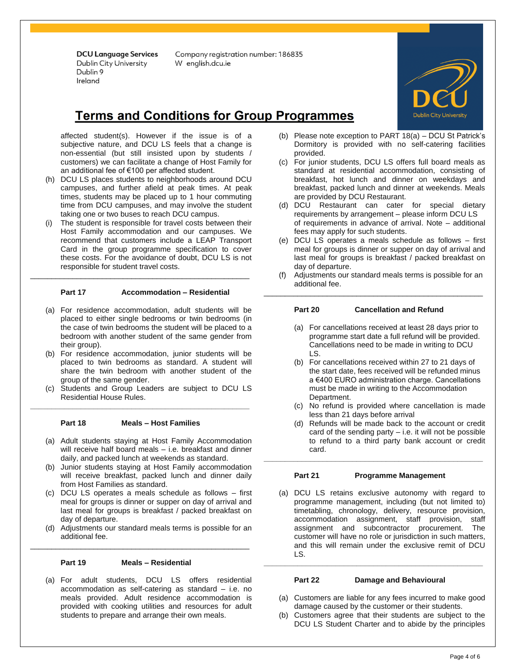Company registration number: 186835 W enalish.dcu.ie



# **Terms and Conditions for Group Programmes**

affected student(s). However if the issue is of a subjective nature, and DCU LS feels that a change is non-essential (but still insisted upon by students / customers) we can facilitate a change of Host Family for an additional fee of €100 per affected student.

- (h) DCU LS places students to neighborhoods around DCU campuses, and further afield at peak times. At peak times, students may be placed up to 1 hour commuting time from DCU campuses, and may involve the student taking one or two buses to reach DCU campus.
- (i) The student is responsible for travel costs between their Host Family accommodation and our campuses. We recommend that customers include a LEAP Transport Card in the group programme specification to cover these costs. For the avoidance of doubt, DCU LS is not responsible for student travel costs.

# **Part 17 Accommodation – Residential**

\_\_\_\_\_\_\_\_\_\_\_\_\_\_\_\_\_\_\_\_\_\_\_\_\_\_\_\_\_\_\_\_\_\_\_\_\_\_\_\_\_\_\_\_\_\_\_\_\_\_\_\_

- (a) For residence accommodation, adult students will be placed to either single bedrooms or twin bedrooms (in the case of twin bedrooms the student will be placed to a bedroom with another student of the same gender from their group).
- (b) For residence accommodation, junior students will be placed to twin bedrooms as standard. A student will share the twin bedroom with another student of the group of the same gender.
- (c) Students and Group Leaders are subject to DCU LS Residential House Rules.

### **Part 18 Meals – Host Families**

**\_\_\_\_\_\_\_\_\_\_\_\_\_\_\_\_\_\_\_\_\_\_\_\_\_\_\_\_\_\_\_\_\_\_\_\_\_\_\_\_\_\_\_\_\_\_\_\_\_\_\_\_**

- (a) Adult students staying at Host Family Accommodation will receive half board meals - i.e. breakfast and dinner daily, and packed lunch at weekends as standard.
- (b) Junior students staying at Host Family accommodation will receive breakfast, packed lunch and dinner daily from Host Families as standard.
- (c) DCU LS operates a meals schedule as follows first meal for groups is dinner or supper on day of arrival and last meal for groups is breakfast / packed breakfast on day of departure.
- (d) Adjustments our standard meals terms is possible for an additional fee.

\_\_\_\_\_\_\_\_\_\_\_\_\_\_\_\_\_\_\_\_\_\_\_\_\_\_\_\_\_\_\_\_\_\_\_\_\_\_\_\_\_\_\_\_\_\_\_\_\_\_\_\_

### **Part 19 Meals – Residential**

(a) For adult students, DCU LS offers residential accommodation as self-catering as standard – i.e. no meals provided. Adult residence accommodation is provided with cooking utilities and resources for adult students to prepare and arrange their own meals.

- (b) Please note exception to PART 18(a) DCU St Patrick's Dormitory is provided with no self-catering facilities provided.
- (c) For junior students, DCU LS offers full board meals as standard at residential accommodation, consisting of breakfast, hot lunch and dinner on weekdays and breakfast, packed lunch and dinner at weekends. Meals are provided by DCU Restaurant.
- (d) DCU Restaurant can cater for special dietary requirements by arrangement – please inform DCU LS of requirements in advance of arrival. Note – additional fees may apply for such students.
- (e) DCU LS operates a meals schedule as follows first meal for groups is dinner or supper on day of arrival and last meal for groups is breakfast / packed breakfast on day of departure.
- (f) Adjustments our standard meals terms is possible for an additional fee.

# **Part 20 Cancellation and Refund**

\_\_\_\_\_\_\_\_\_\_\_\_\_\_\_\_\_\_\_\_\_\_\_\_\_\_\_\_\_\_\_\_\_\_\_\_\_\_\_\_\_\_\_\_\_\_\_\_\_\_\_\_

- (a) For cancellations received at least 28 days prior to programme start date a full refund will be provided. Cancellations need to be made in writing to DCU LS.
- (b) For cancellations received within 27 to 21 days of the start date, fees received will be refunded minus a €400 EURO administration charge. Cancellations must be made in writing to the Accommodation Department.
- (c) No refund is provided where cancellation is made less than 21 days before arrival
- (d) Refunds will be made back to the account or credit card of the sending party  $-$  i.e. it will not be possible to refund to a third party bank account or credit card.

### **Part 21 Programme Management**

**\_\_\_\_\_\_\_\_\_\_\_\_\_\_\_\_\_\_\_\_\_\_\_\_\_\_\_\_\_\_\_\_\_\_\_\_\_\_\_\_\_\_\_\_\_\_\_\_\_\_\_\_**

(a) DCU LS retains exclusive autonomy with regard to programme management, including (but not limited to) timetabling, chronology, delivery, resource provision, accommodation assignment, staff provision, staff assignment and subcontractor procurement. The customer will have no role or jurisdiction in such matters, and this will remain under the exclusive remit of DCU LS.

### **Part 22 Damage and Behavioural**

**\_\_\_\_\_\_\_\_\_\_\_\_\_\_\_\_\_\_\_\_\_\_\_\_\_\_\_\_\_\_\_\_\_\_\_\_\_\_\_\_\_\_\_\_\_\_\_\_\_\_\_\_**

- (a) Customers are liable for any fees incurred to make good damage caused by the customer or their students.
- (b) Customers agree that their students are subject to the DCU LS Student Charter and to abide by the principles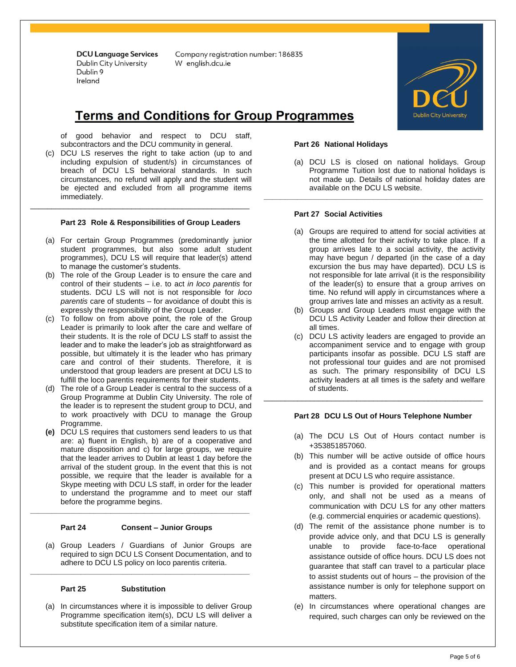Company registration number: 186835 W enalish.dcu.ie

# **Terms and Conditions for Group Programmes**

of good behavior and respect to DCU staff, subcontractors and the DCU community in general.

(c) DCU LS reserves the right to take action (up to and including expulsion of student/s) in circumstances of breach of DCU LS behavioral standards. In such circumstances, no refund will apply and the student will be ejected and excluded from all programme items immediately.

### **Part 23 Role & Responsibilities of Group Leaders**

\_\_\_\_\_\_\_\_\_\_\_\_\_\_\_\_\_\_\_\_\_\_\_\_\_\_\_\_\_\_\_\_\_\_\_\_\_\_\_\_\_\_\_\_\_\_\_\_\_\_\_\_

- (a) For certain Group Programmes (predominantly junior student programmes, but also some adult student programmes), DCU LS will require that leader(s) attend to manage the customer's students.
- (b) The role of the Group Leader is to ensure the care and control of their students – i.e. to act *in loco parentis* for students. DCU LS will not is not responsible for *loco parentis* care of students – for avoidance of doubt this is expressly the responsibility of the Group Leader.
- (c) To follow on from above point, the role of the Group Leader is primarily to look after the care and welfare of their students. It is the role of DCU LS staff to assist the leader and to make the leader's job as straightforward as possible, but ultimately it is the leader who has primary care and control of their students. Therefore, it is understood that group leaders are present at DCU LS to fulfill the loco parentis requirements for their students.
- (d) The role of a Group Leader is central to the success of a Group Programme at Dublin City University. The role of the leader is to represent the student group to DCU, and to work proactively with DCU to manage the Group Programme.
- **(e)** DCU LS requires that customers send leaders to us that are: a) fluent in English, b) are of a cooperative and mature disposition and c) for large groups, we require that the leader arrives to Dublin at least 1 day before the arrival of the student group. In the event that this is not possible, we require that the leader is available for a Skype meeting with DCU LS staff, in order for the leader to understand the programme and to meet our staff before the programme begins.

# **Part 24 Consent – Junior Groups**

**\_\_\_\_\_\_\_\_\_\_\_\_\_\_\_\_\_\_\_\_\_\_\_\_\_\_\_\_\_\_\_\_\_\_\_\_\_\_\_\_\_\_\_\_\_\_\_\_\_\_\_\_**

**\_\_\_\_\_\_\_\_\_\_\_\_\_\_\_\_\_\_\_\_\_\_\_\_\_\_\_\_\_\_\_\_\_\_\_\_\_\_\_\_\_\_\_\_\_\_\_\_\_\_\_\_**

(a) Group Leaders / Guardians of Junior Groups are required to sign DCU LS Consent Documentation, and to adhere to DCU LS policy on loco parentis criteria.

# **Part 25 Substitution**

(a) In circumstances where it is impossible to deliver Group Programme specification item(s), DCU LS will deliver a substitute specification item of a similar nature.



# **Part 26 National Holidays**

(a) DCU LS is closed on national holidays. Group Programme Tuition lost due to national holidays is not made up. Details of national holiday dates are available on the DCU LS website.

**\_\_\_\_\_\_\_\_\_\_\_\_\_\_\_\_\_\_\_\_\_\_\_\_\_\_\_\_\_\_\_\_\_\_\_\_\_\_\_\_\_\_\_\_\_\_\_\_\_\_\_\_**

# **Part 27 Social Activities**

- (a) Groups are required to attend for social activities at the time allotted for their activity to take place. If a group arrives late to a social activity, the activity may have begun / departed (in the case of a day excursion the bus may have departed). DCU LS is not responsible for late arrival (it is the responsibility of the leader(s) to ensure that a group arrives on time. No refund will apply in circumstances where a group arrives late and misses an activity as a result.
- (b) Groups and Group Leaders must engage with the DCU LS Activity Leader and follow their direction at all times.
- (c) DCU LS activity leaders are engaged to provide an accompaniment service and to engage with group participants insofar as possible. DCU LS staff are not professional tour guides and are not promised as such. The primary responsibility of DCU LS activity leaders at all times is the safety and welfare of students.

## **Part 28 DCU LS Out of Hours Telephone Number**

\_\_\_\_\_\_\_\_\_\_\_\_\_\_\_\_\_\_\_\_\_\_\_\_\_\_\_\_\_\_\_\_\_\_\_\_\_\_\_\_\_\_\_\_\_\_\_\_\_\_\_\_

- (a) The DCU LS Out of Hours contact number is +353851857060.
- (b) This number will be active outside of office hours and is provided as a contact means for groups present at DCU LS who require assistance.
- (c) This number is provided for operational matters only, and shall not be used as a means of communication with DCU LS for any other matters (e.g. commercial enquiries or academic questions).
- (d) The remit of the assistance phone number is to provide advice only, and that DCU LS is generally unable to provide face-to-face operational assistance outside of office hours. DCU LS does not guarantee that staff can travel to a particular place to assist students out of hours – the provision of the assistance number is only for telephone support on matters.
- (e) In circumstances where operational changes are required, such charges can only be reviewed on the